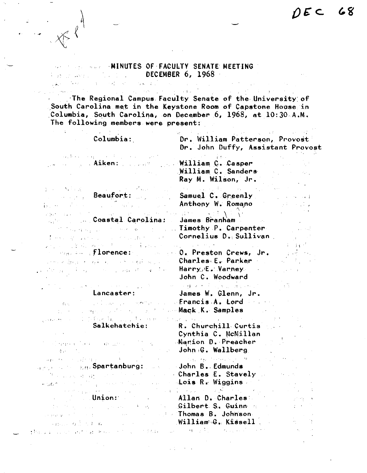## MINUTES OF FACULTY SENATE MEETING. DECEMBER 6, 1968 Program were also that they

**Commentary** 

.·The Regional Campus. Faculty Senate of the University of . The Regional Campus Faculty Senate of the University of South Carolina met in the Keystone Room of Capstone House in Columbia, South Carolina, on December 6, 1968, at 10:30 A.M. The following members were present:

 $\sim 10^{-1}$  ,  $\sim 10^{-1}$ 

| Columbia:                                                                                                                                                                                                                                                                                                                                                                                                                                                                   | Dr. William Patterson, Provost<br>Dr. John Duffy, Assistant Provost                                                                                                                                                                                             |
|-----------------------------------------------------------------------------------------------------------------------------------------------------------------------------------------------------------------------------------------------------------------------------------------------------------------------------------------------------------------------------------------------------------------------------------------------------------------------------|-----------------------------------------------------------------------------------------------------------------------------------------------------------------------------------------------------------------------------------------------------------------|
| المستحدث والمتابعة والمستحقق والمتحدث<br>$\sim 1000$<br><sub>low</sub> and a comp <mark>. Aiken:</mark> propose                                                                                                                                                                                                                                                                                                                                                             | 医原子宫 医心室静脉<br>William C. Casper<br>William C. Sanders<br>Ray M. Wilson, Jr.                                                                                                                                                                                     |
| De Steat Beaufort: 1988<br>$\mathbf{1}_{\mathbf{1}_{\mathbf{1}}\cup\mathbf{1}_{\mathbf{1}}\cup\mathbf{1}}$ , $\mathcal{F}_{\mathbf{1}_{\mathbf{1}}\cup\mathbf{1}_{\mathbf{1}}\cup\mathbf{1}}$ , $\mathcal{F}_{\mathbf{1}_{\mathbf{1}}\cup\mathbf{1}_{\mathbf{1}}\cup\mathbf{1}}$ , $\mathcal{F}_{\mathbf{1}_{\mathbf{1}}\cup\mathbf{1}_{\mathbf{1}}\cup\mathbf{1}}$ , $\mathcal{F}_{\mathbf{1}_{\mathbf{1}}\cup\mathbf{1}_{\mathbf{1}}\cup\mathbf{1}}$<br>$\sim 10^{-1}$    | provided a state of the company of<br>Samuel C. Greenly<br>Anthony W. Romano                                                                                                                                                                                    |
| where the contribution of the contribution of the HM $_{\odot}$ ( $\sim$ 1.1 $\Lambda$ ) $^2$<br><b>Coastal Carolina:</b><br>$\omega_{\rm eff}$ to :<br>some process of the contract of the Carpenter.<br>The second contract is a set of the state $\mathcal{O}(\mathbb{R}^2)$                                                                                                                                                                                             | <b>James Branham</b><br>Connelius D. Sullivan<br>$\mathcal{L} \subset \mathcal{L}$                                                                                                                                                                              |
| 2010年,1994年在1995年,1995年10月17日<br><b>Company of Florence: The Second Preston Crews, Jr.</b><br>competition of the competition of Charles-E. Parker of the<br><b>Service Communication of the Harry E.Marney Communication</b><br>$\mathcal{L}^{\text{L}}(\mathcal{C})$ , $\mathcal{L}^{\text{L}}(\mathcal{C})$                                                                                                                                                               | $\langle \phi_{\rm{eff}} \rangle = 1.3$ , $\theta_{\rm{eff}} = 1.0$ , $\theta_{\rm{eff}}$<br>John C. Woodward                                                                                                                                                   |
| $\Delta\mathbf{v}=\mathbf{v}^{\top}$ , where $\mathbf{v}^{\top}$ is the set of the set of $\mathbf{v}^{\top}$<br>Lancaster:<br>Barrier C<br>a many computer and computer                                                                                                                                                                                                                                                                                                    | المناوب وأوالي وأوالي والمناوب والمتحال والمتحال والمستحدث والمستحدث<br>James W. Glenn, Jr.<br>Month Day of Service Confrancis A. Lord Concer<br>Mack K. Samples                                                                                                |
| Garage of C. Hernig Co. H. Gar<br>Salkehatchie:<br>n se a l'especial à l'anno 1994 de l'april de l'<br><b>SALES</b>                                                                                                                                                                                                                                                                                                                                                         | Denne and the special control of<br>R. Churchill Curtis<br>Cynthia C. McMillan<br><b>Marion D. Preacher</b><br>John G. Wallberg                                                                                                                                 |
| $\omega_{D} \left( \left( \mathbf{S}_{\mathbf{S}} \right) \right) \leq \omega_{D} \left( \mathbf{S}_{\mathbf{S}} \right) \leq \omega_{D} \left( \mathbf{S}_{\mathbf{S}} \right) \leq \omega_{D} \left( \mathbf{S}_{\mathbf{S}} \right)$<br><b>Contract of the Spantanburg:</b> Contract John B. Edmunds<br><b>Charles E. Stavely</b><br>and the second contract of the second second second second second second second second second second second se<br>المستحرم والمنابذ | $\label{eq:1} \mathcal{L}_{\text{max}} = \mathcal{L}_{\text{max}} + \mathcal{L}_{\text{max}} + \mathcal{L}_{\text{max}} + \mathcal{L}_{\text{max}} + \mathcal{L}_{\text{max}} + \mathcal{L}_{\text{max}} + \mathcal{L}_{\text{max}} + \mathcal{L}_{\text{max}}$ |
| a ta kasang mga bayang sa mga bayang ng mga bayang ng mga bayang ng mga bayang ng mga bayang ng mga bayang ng<br>Mga bayang mga bayang ng mga bayang ng mga bayang ng mga bayang ng mga bayang ng mga bayang ng mga bayang ng m<br><b>Example 19 Construction Allan D. Charles</b><br><b>Conservation of the Conservation of the Thomas B. Johnson</b><br>william G. Kissell $\sim$                                                                                         | <b>Solution Constanting Community Community Community</b>                                                                                                                                                                                                       |
| a van die sterkste geheids en te verstigden is dat die 1990 van die Kaap van die Staat van die Staat van die S                                                                                                                                                                                                                                                                                                                                                              |                                                                                                                                                                                                                                                                 |

2010/03/14

 $\cdot$  '

,  $\mathcal{L}(\mathcal{C})$  ,

 $\sim 10^7$ 

 $\mathcal{L}(\mathcal{A})$  and  $\mathcal{L}(\mathcal{A})$  and  $\mathcal{L}(\mathcal{A})$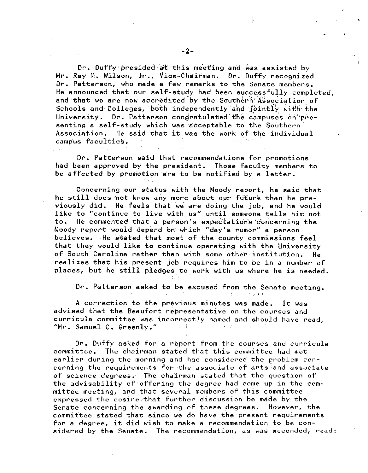Dr. Duffy presided at this meeting and was assisted by Mr. Ray M. Wilson, Jr,, Vice-Chairman. Dr. Duffy recognized Dr. Patterson, who made a few remarks to the Senate members. He announced that our self-study had been successfully completed, and that we are now accredited by the Southern Association of Schools and Colleges, both independently and Jointly with the  $University.$  Dr. Patterson congratulated the campuses on presenting a self-study which was acceptable to the Southern Association. He said that it was the work of the individual campus.faculties.

Dr. Patterson said that recommendations for promotions had been approved by the president. Those faculty members to be affected by promotion·are to be notified by a letter,

Concerning our status with the Moody report, he said that he still does not know any more about our future than he previously did. He feels that we are doing the job, and he would like to "continue to live with us" until someone tells him not to. He commented that a person's expectations concerning the Moody report would depend bri which "day's rumor" a person believes. He stated that most of the county commissions feel that they would like to continue operating with the University of South Carolina rather than with some other-institution, He realizes that his present job requires him to be in a number of places, but he still pledges:to work with us where he is needed.

Dr. Patterson asked to be excused from the Senate meeting.<br> *Presence in the senate meeting.* 

A correction to the previous minutes was made, It was advised that the Beaufort representative on the courses and curricula committee was incorrectly named and should have read, "Mr. Samuel C, Greenly." sta Eggen de Storie (1980)

Dr. Duffy asked for a report from the courses and curricula committee. The chairman stated that this committee had met earlier during the morning and had considered the problem concerning the requirements for the associate of arts and associate of science degrees, The chairman stated that the question of the advisability of offering the degree had come up in the committee meeting, and that several members of this committee expressed the desire.•that further discussion be ma"de by the Senate concerning the awarding of these degrees, However, the committee stated that since we do have the present requirements for a degree, it did wish to make a recommendation to be considered by the Senate, The recommendation, as was seconded, read:

•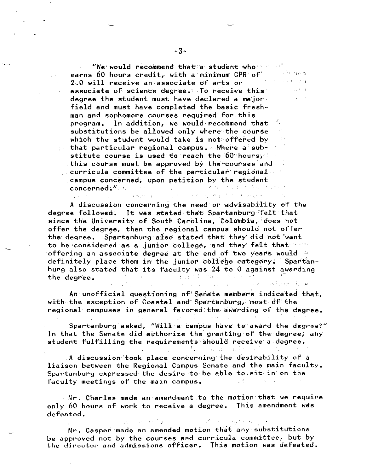We would recommend that a student who  $\sim$   $\sigma^2$ earns 60 hours credit, with a minimum GPR of'<br>2.0 will receive an associate of arts or e sa de conq 2.0 will receive an associate of arts or associate of science degree. To receive this a sa salawan degree the student must have declared a major field and must have completed the basic freshman and sophomore courses required for this  $program$ . In addition, we would-recommend that' substitutions be allowed only where the course which the student would take is not offered by  $\frac{1}{2}$  that particular regional campus. Where a sub-  $\frac{1}{2}$ stitute course is used to reach the  $60$  hours;  $\sim$ , this course must be approved by the courses and  $\Box$  curricula committee of the particular regional campus concerned, upon petition by the student concerned;" and the same state of the state of the state of the state of

A discussion concerning the need or advisability of the degree followed. It was stated that Spartanburg felt that since the University of South Carolina, Columbia, does not offer the degree; then the regional campus should not offer the degree. Spartanburg also stated that they did not want to be considered as a junior college, and they felt that  $\mathbb{P}^{\otimes n}$ offering an associate degree at the end of two years would  $\sim$ definitely place them in the junior college category. Spartanburg also stated that its faculty was 24 to 0 against awarding<br>the degree. the degree. المقاربة والمحومة فأرقعني والامتداد والمتواصل والمرادي  $\sim 10^{11}$  and  $\sim 10^{11}$ 

 $\mathcal{L}_{\mathcal{A}}$  , and  $\mathcal{L}_{\mathcal{A}}$  , and

 $\sim 10^{10}$ 

subsequence of a complete control energy sharp of a track campus with a control

An unofficial questioning of Senate members indicated that, with the exception of Coastal and Spartanburg, most  $df$  the regional campuses in general favored the awarding of the degree.

Spartanburg asked, "Will a campus have to award the degree?" In that the Senate did authorize the granting·of the degree, any student fulfilling the requirements should receive a degree.

.A discussion 'took place concerning the desirability of a liaison between the Regional Campus Senate and the main faculty. Spartanburg expressed the desire to be able to sit in on the faculty meetings of the main campus.

Mr. Charles made an amendment to the motion that we require only 60 hours of work to receive a degree. This amendment was defeated.

.<br>Mr. Casper made an amended motion that any substitutions be approved not by the courses and curricula committee, but by the director and admissions officer. This motion was defeated.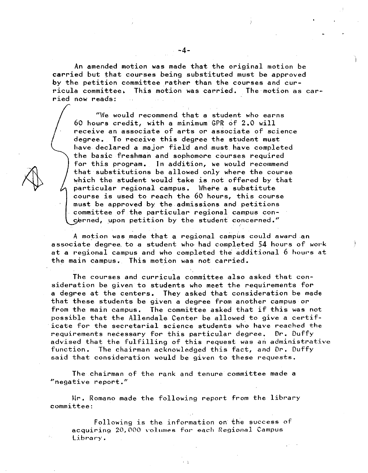An amended motion was made that the original motion be carried but that courses being substituted must be approved by the petition committee rather than the courses and curricula committee, This motion was carried. The motion as carried now reads:

"We would recommend that a student who earns 60 hours credit, with a minimum GPR of 2.0 will receive an associate of arts or associate of science degree. To receive this degree the student must have declared a major field and must have completed the basic freshman and sophomore courses required for this program. In addition, we would recommend that substitutions be allowed only where the course which the student would take is not offered by that particular regional campus. Where a substitute course is used to reach the 60 hours, this course must be approved by the admissions and petitions committee of the particular regional campus concerned, upon petition by the student concerned."

A motion was made that a regional campus could award an associate degree to a student who had completed 54 hours of work at a regional campus and who completed the additional 6 hours at the main campus. This motion was not carried.

The courses and curricula committee also asked that consideration be given to students who meet the requirements for a degree at the centers, They asked that consideration be made that these students be given a degree from another campus or from the main campus, The committee asked that if this was not possible that the Allendale Center be allowed to give a certificate for the secretarial science students who have reached the requirements necessary for this particular degree. Dr. Duffy advised that the fulfilling of this request was an administrative function. The chairman acknowledged this fact, and Dr. Duffy said that consideration would be given to these requests.

The chairman of the rank and tenure committee made a  $"$ negative report."

Mr. Romano made the following report from the library committee:

Following is the information on the success of acquiring 20,000 volumes for each Regional Campus Library.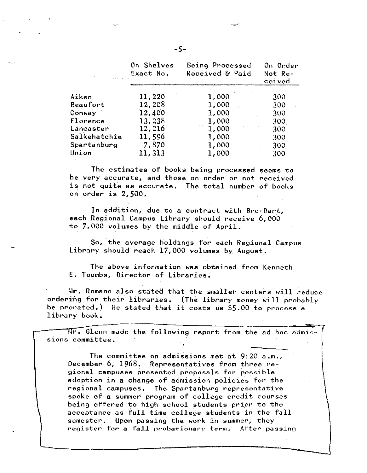|              | On Shelves<br>Exact No. | Being Processed<br>Received & Paid | On Order<br>Not Re-<br>ceived |
|--------------|-------------------------|------------------------------------|-------------------------------|
| Aiken        | 11,220                  | 1,000                              | 300                           |
| Beaufort     | 12,208                  | 1,000                              | 300                           |
| Conway       | 12,400                  | 1,000                              | 300                           |
| Florence     | 13,238                  | 1,000                              | 300                           |
| Lancaster    | 12,216                  | 1,000                              | 300                           |
| Salkehatchie | 11,596                  | 1,000                              | 300                           |
| Spartanburg  | 7,870                   | 1,000                              | 300                           |
| Union        | 11,313                  | 1,000                              | 300                           |

The estimates of books being processed seems to be very accurate, and those on order or not received is not quite as accurate. The total number of books on order is 2,500,

In addition, due to a contract with Bro-Dart, each Regional Campus Library should receive 6,000 to 7,000 volumes by the middle of April.

So, the average holdings for each Regional Campus Library should reach 17,000 volumes by August.

The above information.was obtained from Kenneth E. Toombs, Director of Libraries,

Mr. Romano also stated that the smaller centers will reduce ordering for their libraries. (The library money will probably be prorated.) He stated that it costs us \$5.00 to process a library book,

 $\overline{\texttt{Mr}}$ . Glenn made the following report from the ad hoc admissions committee.

The committee on admissions met at 9:20 a.m., December  $6, 1968$ . Representatives from three regional campuses presented proposals for possible adoption in a change of admission policies for the regional campuses, The Spartanburg representative spoke of a summer program of college credit courses being offered to high school students prior to the acceptance as full time college students in the fall semester. Upon passing the work in summer, they register for a fall probationary term. After passing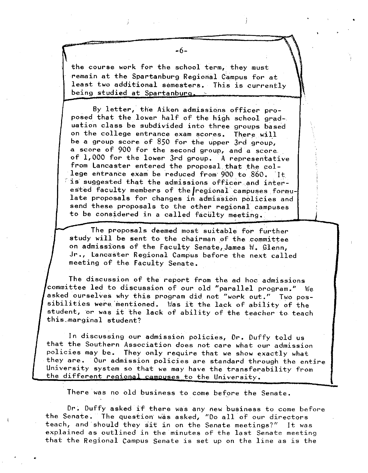$\begin{matrix} 1 \\ t \\ r \end{matrix}$ the course work for the school term, they must remain at the Spartanburg Regional Campus for at least two additional semesters. This is currently being studied at Spartanburg...

By letter, the Aiken admissions officer proposed that the lower half of the high school graduation class be subdivided into three groups based on the college entrance exam scores. There will be a group score of 850 for the upper 3rd group, a score of 900 for the second group, and a score of 1,000 for the lower 3rd group. A representative from Lancaster entered the proposal that the college entrance exam be reduced from 900 to 860. It  $\mathbb{R}$  is suggested that the admissions officer and interested faculty members of the regional campuses formulate proposals for changes in admission policies and send these proposals to the other regional campuses to be considered in a called faculty meeting.

The proposals deemed most suitable for further study will be sent to the chairman of the committee on admissions of the Faculty Senate,James W. Glenn, Jr,, Lancaster Regional Campus before the next called meeting of the Faculty Senate.

 $\mathbf{I}$ 

•

The discussion of the report from the ad hoc admissions committee led to discussion of our old "parallel program." We asked ourselves why this program did not "work out." Two possibilities were mentioned. Was it the lack of ability of the student, or was it the lack of ability of the teacher to teach this.~arginal student?

In discussing our admission policies, Dr. Duffy told us that the Southern Association does not care what our admission policies may be. They only require that we show exactly what they are. Our admission policies are standard through the entire University system so that we may have the transferability from the different regional campuses to the University.

There was no old business to come before the Senate,

Dr; Duffy asked if there was any new business to come before the Senate. The question was asked, "Do all of our directors teach, and should they sit in on the Senate meetings?" It was explained as outlined in the minutes of the last Senate meeting that the Regional Campus Senate is set up on the line as is the

•

-6-